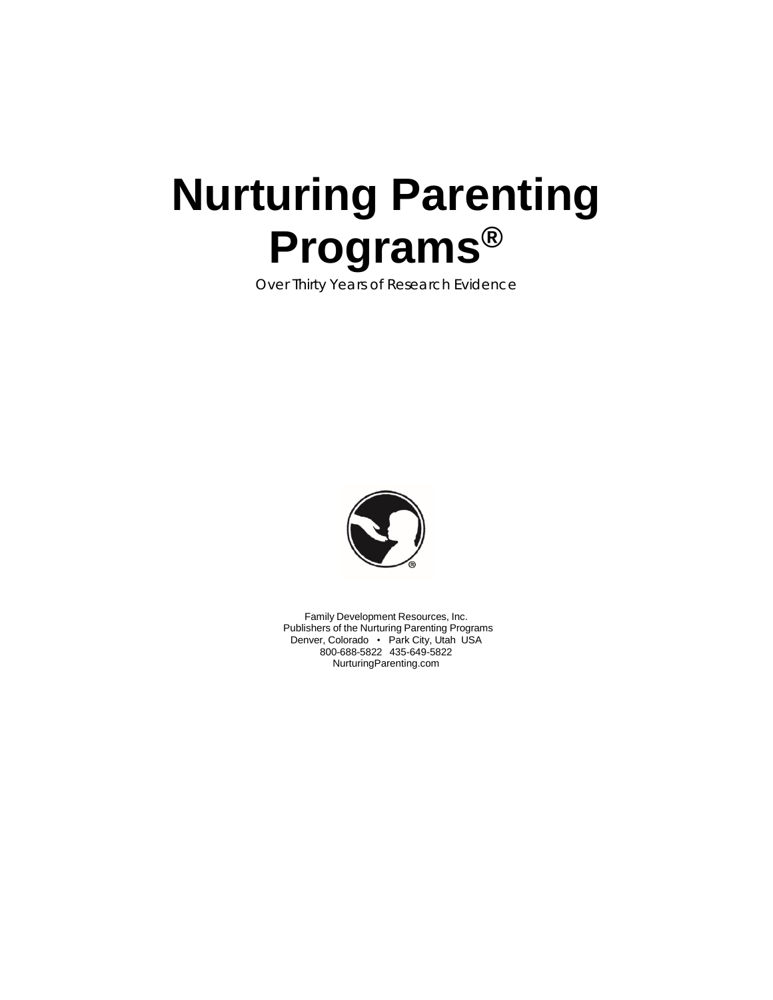# **Nurturing Parenting Programs®**

Over Thirty Years of Research Evidence



Family Development Resources, Inc. Publishers of the Nurturing Parenting Programs Denver, Colorado • Park City, Utah USA 800-688-5822 435-649-5822 [NurturingParenting.co](http://www.nurturingparenting.com/)m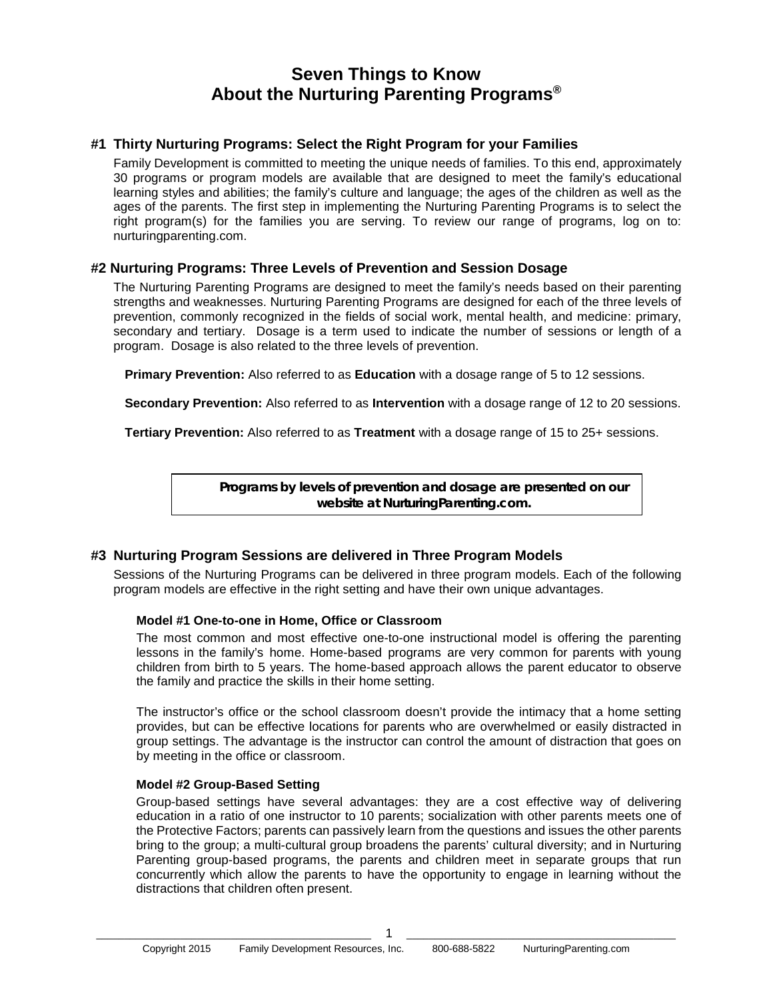# **Seven Things to Know About the Nurturing Parenting Programs®**

# **#1 Thirty Nurturing Programs: Select the Right Program for your Families**

Family Development is committed to meeting the unique needs of families. To this end, approximately 30 programs or program models are available that are designed to meet the family's educational learning styles and abilities; the family's culture and language; the ages of the children as well as the ages of the parents. The first step in implementing the Nurturing Parenting Programs is to select the right program(s) for the families you are serving. To review our range of programs, log on to: nurturingparenting.com.

#### **#2 Nurturing Programs: Three Levels of Prevention and Session Dosage**

The Nurturing Parenting Programs are designed to meet the family's needs based on their parenting strengths and weaknesses. Nurturing Parenting Programs are designed for each of the three levels of prevention, commonly recognized in the fields of social work, mental health, and medicine: primary, secondary and tertiary. Dosage is a term used to indicate the number of sessions or length of a program. Dosage is also related to the three levels of prevention.

**Primary Prevention:** Also referred to as **Education** with a dosage range of 5 to 12 sessions.

**Secondary Prevention:** Also referred to as **Intervention** with a dosage range of 12 to 20 sessions.

**Tertiary Prevention:** Also referred to as **Treatment** with a dosage range of 15 to 25+ sessions.

**Programs by levels of prevention and dosage are presented on our website at NurturingParenting.com.**

# **#3 Nurturing Program Sessions are delivered in Three Program Models**

Sessions of the Nurturing Programs can be delivered in three program models. Each of the following program models are effective in the right setting and have their own unique advantages.

#### **Model #1 One-to-one in Home, Office or Classroom**

The most common and most effective one-to-one instructional model is offering the parenting lessons in the family's home. Home-based programs are very common for parents with young children from birth to 5 years. The home-based approach allows the parent educator to observe the family and practice the skills in their home setting.

The instructor's office or the school classroom doesn't provide the intimacy that a home setting provides, but can be effective locations for parents who are overwhelmed or easily distracted in group settings. The advantage is the instructor can control the amount of distraction that goes on by meeting in the office or classroom.

#### **Model #2 Group-Based Setting**

Group-based settings have several advantages: they are a cost effective way of delivering education in a ratio of one instructor to 10 parents; socialization with other parents meets one of the Protective Factors; parents can passively learn from the questions and issues the other parents bring to the group; a multi-cultural group broadens the parents' cultural diversity; and in Nurturing Parenting group-based programs, the parents and children meet in separate groups that run concurrently which allow the parents to have the opportunity to engage in learning without the distractions that children often present.

\_\_\_\_\_\_\_\_\_\_\_\_\_\_\_\_\_\_\_\_\_\_\_\_\_\_\_\_\_\_\_\_\_\_\_\_\_\_\_\_\_\_\_\_\_\_\_\_\_ 1 \_\_\_\_\_\_\_\_\_\_\_\_\_\_\_\_\_\_\_\_\_\_\_\_\_\_\_\_\_\_\_\_\_\_\_\_\_\_\_\_\_\_\_\_\_\_\_\_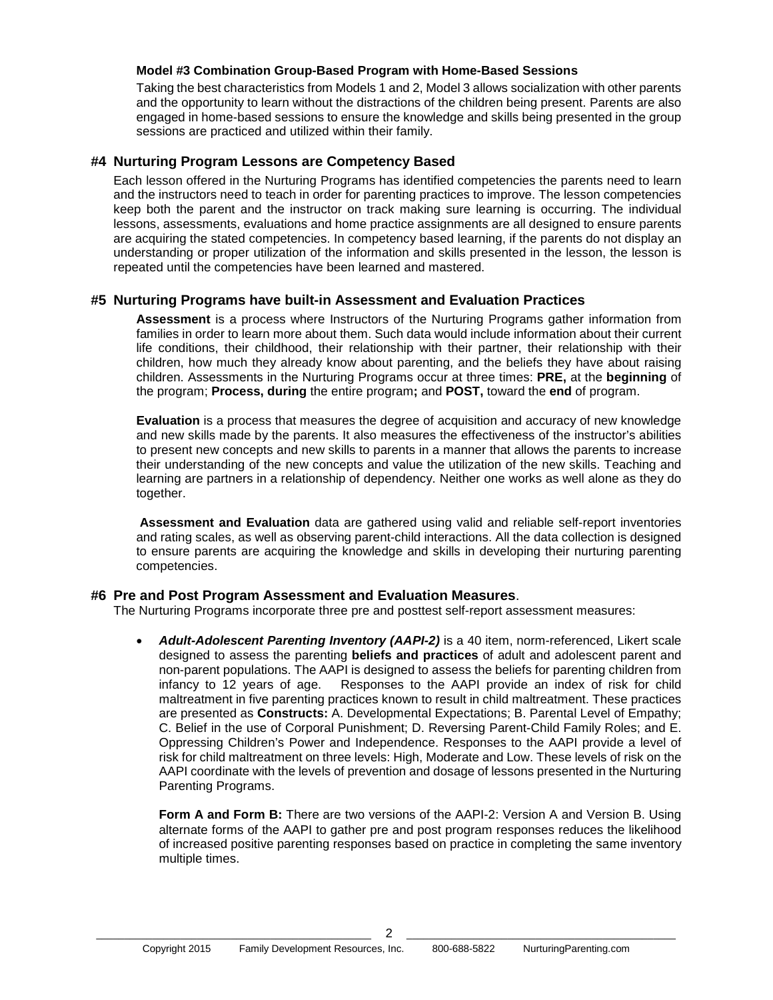#### **Model #3 Combination Group-Based Program with Home-Based Sessions**

Taking the best characteristics from Models 1 and 2, Model 3 allows socialization with other parents and the opportunity to learn without the distractions of the children being present. Parents are also engaged in home-based sessions to ensure the knowledge and skills being presented in the group sessions are practiced and utilized within their family.

#### **#4 Nurturing Program Lessons are Competency Based**

Each lesson offered in the Nurturing Programs has identified competencies the parents need to learn and the instructors need to teach in order for parenting practices to improve. The lesson competencies keep both the parent and the instructor on track making sure learning is occurring. The individual lessons, assessments, evaluations and home practice assignments are all designed to ensure parents are acquiring the stated competencies. In competency based learning, if the parents do not display an understanding or proper utilization of the information and skills presented in the lesson, the lesson is repeated until the competencies have been learned and mastered.

#### **#5 Nurturing Programs have built-in Assessment and Evaluation Practices**

**Assessment** is a process where Instructors of the Nurturing Programs gather information from families in order to learn more about them. Such data would include information about their current life conditions, their childhood, their relationship with their partner, their relationship with their children, how much they already know about parenting, and the beliefs they have about raising children. Assessments in the Nurturing Programs occur at three times: **PRE,** at the **beginning** of the program; **Process, during** the entire program**;** and **POST,** toward the **end** of program.

**Evaluation** is a process that measures the degree of acquisition and accuracy of new knowledge and new skills made by the parents. It also measures the effectiveness of the instructor's abilities to present new concepts and new skills to parents in a manner that allows the parents to increase their understanding of the new concepts and value the utilization of the new skills. Teaching and learning are partners in a relationship of dependency. Neither one works as well alone as they do together.

**Assessment and Evaluation** data are gathered using valid and reliable self-report inventories and rating scales, as well as observing parent-child interactions. All the data collection is designed to ensure parents are acquiring the knowledge and skills in developing their nurturing parenting competencies.

#### **#6 Pre and Post Program Assessment and Evaluation Measures**.

The Nurturing Programs incorporate three pre and posttest self-report assessment measures:

• *Adult-Adolescent Parenting Inventory (AAPI-2)* is a 40 item, norm-referenced, Likert scale designed to assess the parenting **beliefs and practices** of adult and adolescent parent and non-parent populations. The AAPI is designed to assess the beliefs for parenting children from infancy to 12 years of age. Responses to the AAPI provide an index of risk for child maltreatment in five parenting practices known to result in child maltreatment. These practices are presented as **Constructs:** A. Developmental Expectations; B. Parental Level of Empathy; C. Belief in the use of Corporal Punishment; D. Reversing Parent-Child Family Roles; and E. Oppressing Children's Power and Independence. Responses to the AAPI provide a level of risk for child maltreatment on three levels: High, Moderate and Low. These levels of risk on the AAPI coordinate with the levels of prevention and dosage of lessons presented in the Nurturing Parenting Programs.

**Form A and Form B:** There are two versions of the AAPI-2: Version A and Version B. Using alternate forms of the AAPI to gather pre and post program responses reduces the likelihood of increased positive parenting responses based on practice in completing the same inventory multiple times.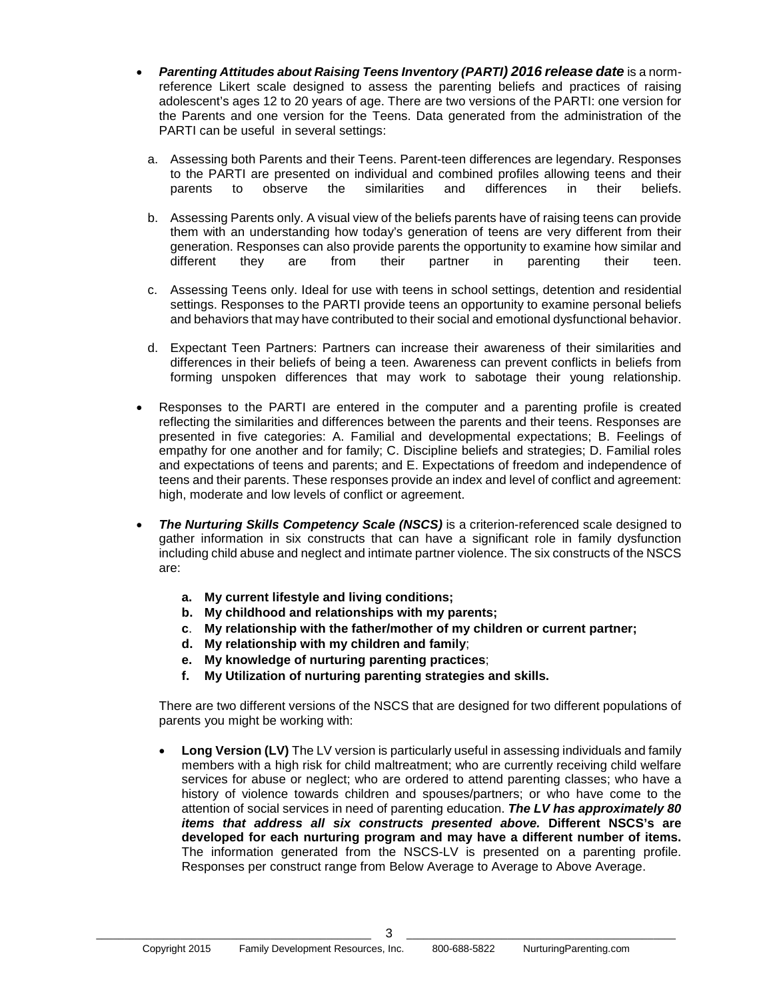- *Parenting Attitudes about Raising Teens Inventory (PARTI) 2016 release date* is a normreference Likert scale designed to assess the parenting beliefs and practices of raising adolescent's ages 12 to 20 years of age. There are two versions of the PARTI: one version for the Parents and one version for the Teens. Data generated from the administration of the PARTI can be useful in several settings:
	- a. Assessing both Parents and their Teens. Parent-teen differences are legendary. Responses to the PARTI are presented on individual and combined profiles allowing teens and their<br>parents to observe the similarities and differences in their beliefs. parents to observe the similarities and differences in their beliefs.
	- b. Assessing Parents only. A visual view of the beliefs parents have of raising teens can provide them with an understanding how today's generation of teens are very different from their generation. Responses can also provide parents the opportunity to examine how similar and different they are from their partner in parenting their teen.
	- c. Assessing Teens only. Ideal for use with teens in school settings, detention and residential settings. Responses to the PARTI provide teens an opportunity to examine personal beliefs and behaviors that may have contributed to their social and emotional dysfunctional behavior.
	- d. Expectant Teen Partners: Partners can increase their awareness of their similarities and differences in their beliefs of being a teen. Awareness can prevent conflicts in beliefs from forming unspoken differences that may work to sabotage their young relationship.
- Responses to the PARTI are entered in the computer and a parenting profile is created reflecting the similarities and differences between the parents and their teens. Responses are presented in five categories: A. Familial and developmental expectations; B. Feelings of empathy for one another and for family; C. Discipline beliefs and strategies; D. Familial roles and expectations of teens and parents; and E. Expectations of freedom and independence of teens and their parents. These responses provide an index and level of conflict and agreement: high, moderate and low levels of conflict or agreement.
- *The Nurturing Skills Competency Scale (NSCS)* is a criterion-referenced scale designed to gather information in six constructs that can have a significant role in family dysfunction including child abuse and neglect and intimate partner violence. The six constructs of the NSCS are:
	- **a. My current lifestyle and living conditions;**
	- **b. My childhood and relationships with my parents;**
	- **c**. **My relationship with the father/mother of my children or current partner;**
	- **d. My relationship with my children and family**;
	- **e. My knowledge of nurturing parenting practices**;
	- **f. My Utilization of nurturing parenting strategies and skills.**

There are two different versions of the NSCS that are designed for two different populations of parents you might be working with:

• **Long Version (LV)** The LV version is particularly useful in assessing individuals and family members with a high risk for child maltreatment; who are currently receiving child welfare services for abuse or neglect; who are ordered to attend parenting classes; who have a history of violence towards children and spouses/partners; or who have come to the attention of social services in need of parenting education. *The LV has approximately 80 items that address all six constructs presented above.* **Different NSCS's are developed for each nurturing program and may have a different number of items.** The information generated from the NSCS-LV is presented on a parenting profile. Responses per construct range from Below Average to Average to Above Average.